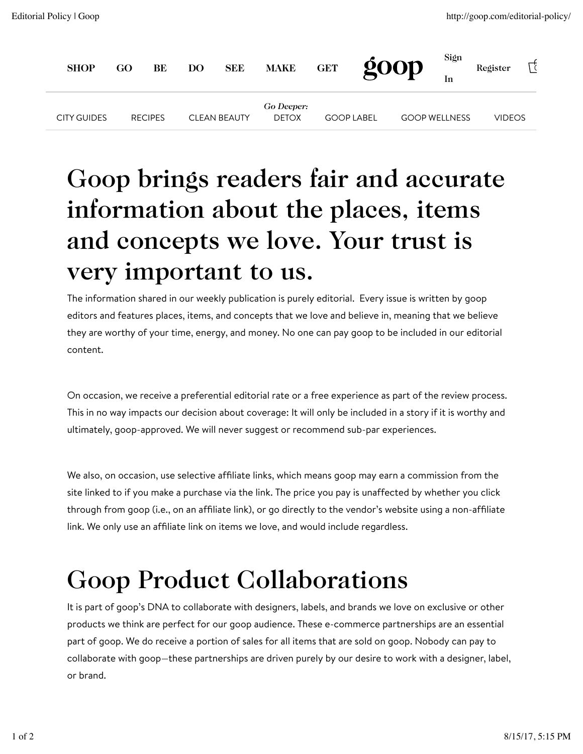| <b>SHOP</b>        | GO | BE             | DO <sub>1</sub> | <b>SEE</b>          | <b>MAKE</b>                | <b>GET</b>        | 600p | Sign                 | Register |  |
|--------------------|----|----------------|-----------------|---------------------|----------------------------|-------------------|------|----------------------|----------|--|
| <b>CITY GUIDES</b> |    | <b>RECIPES</b> |                 | <b>CLEAN BEAUTY</b> | Go Deeper:<br><b>DETOX</b> | <b>GOOP LABEL</b> |      | <b>GOOP WELLNESS</b> | VIDEOS   |  |

## Goop brings readers fair and accurate information about the places, items and concepts we love. Your trust is very important to us.

The information shared in our weekly publication is purely editorial. Every issue is written by goop editors and features places, items, and concepts that we love and believe in, meaning that we believe they are worthy of your time, energy, and money. No one can pay goop to be included in our editorial content.

On occasion, we receive a preferential editorial rate or a free experience as part of the review process. This in no way impacts our decision about coverage: It will only be included in a story if it is worthy and ultimately, goop-approved. We will never suggest or recommend sub-par experiences.

We also, on occasion, use selective affiliate links, which means goop may earn a commission from the site linked to if you make a purchase via the link. The price you pay is unaffected by whether you click through from goop (i.e., on an affiliate link), or go directly to the vendor's website using a non-affiliate link. We only use an affiliate link on items we love, and would include regardless.

## Goop Product Collaborations

It is part of goop's DNA to collaborate with designers, labels, and brands we love on exclusive or other products we think are perfect for our goop audience. These e-commerce partnerships are an essential part of goop. We do receive a portion of sales for all items that are sold on goop. Nobody can pay to collaborate with goop—these partnerships are driven purely by our desire to work with a designer, label, or brand.